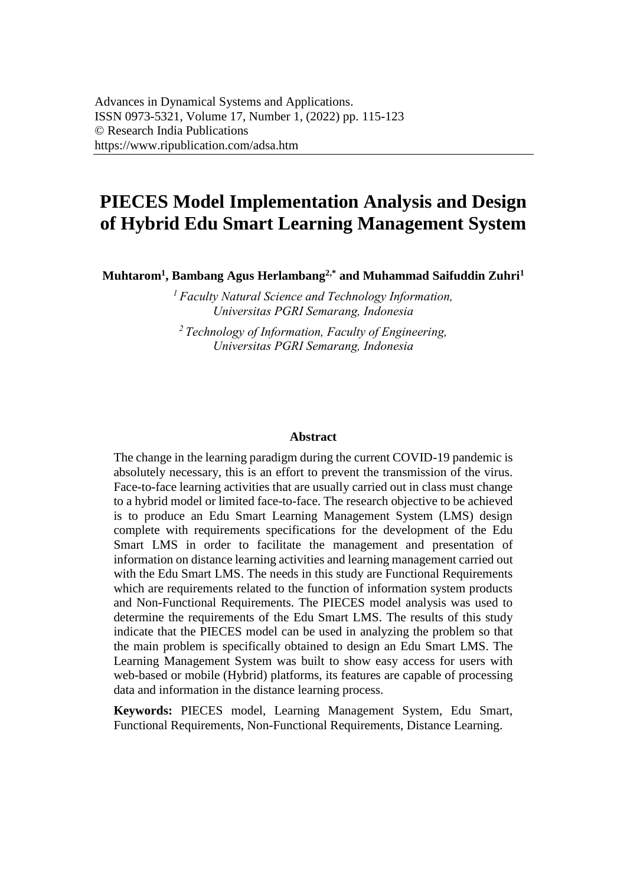# **PIECES Model Implementation Analysis and Design of Hybrid Edu Smart Learning Management System**

**Muhtarom<sup>1</sup> , Bambang Agus Herlambang2,\* and Muhammad Saifuddin Zuhri<sup>1</sup>**

*<sup>1</sup>Faculty Natural Science and Technology Information, Universitas PGRI Semarang, Indonesia* 

*<sup>2</sup>Technology of Information, Faculty of Engineering, Universitas PGRI Semarang, Indonesia* 

#### **Abstract**

The change in the learning paradigm during the current COVID-19 pandemic is absolutely necessary, this is an effort to prevent the transmission of the virus. Face-to-face learning activities that are usually carried out in class must change to a hybrid model or limited face-to-face. The research objective to be achieved is to produce an Edu Smart Learning Management System (LMS) design complete with requirements specifications for the development of the Edu Smart LMS in order to facilitate the management and presentation of information on distance learning activities and learning management carried out with the Edu Smart LMS. The needs in this study are Functional Requirements which are requirements related to the function of information system products and Non-Functional Requirements. The PIECES model analysis was used to determine the requirements of the Edu Smart LMS. The results of this study indicate that the PIECES model can be used in analyzing the problem so that the main problem is specifically obtained to design an Edu Smart LMS. The Learning Management System was built to show easy access for users with web-based or mobile (Hybrid) platforms, its features are capable of processing data and information in the distance learning process.

**Keywords:** PIECES model, Learning Management System, Edu Smart, Functional Requirements, Non-Functional Requirements, Distance Learning.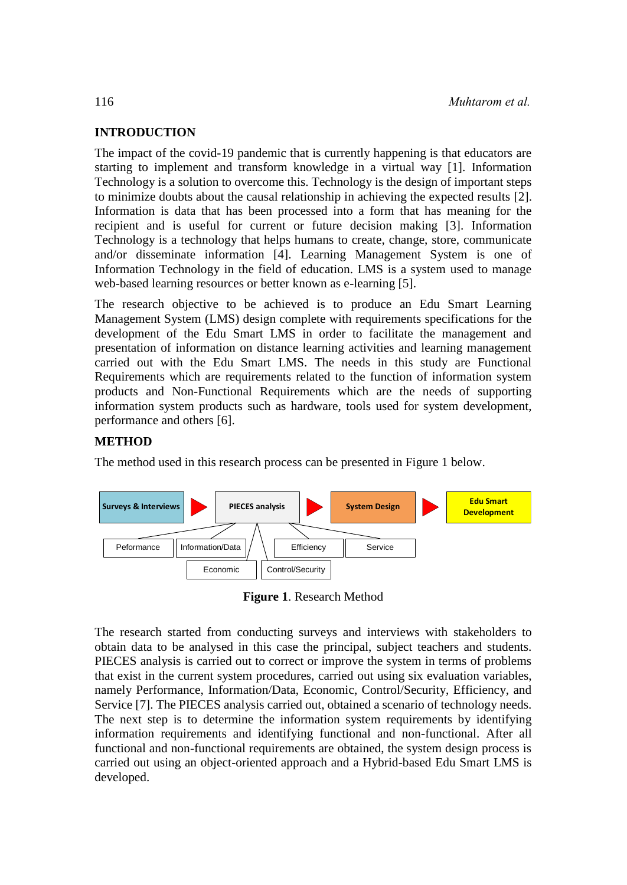## **INTRODUCTION**

The impact of the covid-19 pandemic that is currently happening is that educators are starting to implement and transform knowledge in a virtual way [1]. Information Technology is a solution to overcome this. Technology is the design of important steps to minimize doubts about the causal relationship in achieving the expected results [2]. Information is data that has been processed into a form that has meaning for the recipient and is useful for current or future decision making [3]. Information Technology is a technology that helps humans to create, change, store, communicate and/or disseminate information [4]. Learning Management System is one of Information Technology in the field of education. LMS is a system used to manage web-based learning resources or better known as e-learning [5].

The research objective to be achieved is to produce an Edu Smart Learning Management System (LMS) design complete with requirements specifications for the development of the Edu Smart LMS in order to facilitate the management and presentation of information on distance learning activities and learning management carried out with the Edu Smart LMS. The needs in this study are Functional Requirements which are requirements related to the function of information system products and Non-Functional Requirements which are the needs of supporting information system products such as hardware, tools used for system development, performance and others [6].

# **METHOD**

The method used in this research process can be presented in Figure 1 below.



**Figure 1**. Research Method

The research started from conducting surveys and interviews with stakeholders to obtain data to be analysed in this case the principal, subject teachers and students. PIECES analysis is carried out to correct or improve the system in terms of problems that exist in the current system procedures, carried out using six evaluation variables, namely Performance, Information/Data, Economic, Control/Security, Efficiency, and Service [7]. The PIECES analysis carried out, obtained a scenario of technology needs. The next step is to determine the information system requirements by identifying information requirements and identifying functional and non-functional. After all functional and non-functional requirements are obtained, the system design process is carried out using an object-oriented approach and a Hybrid-based Edu Smart LMS is developed.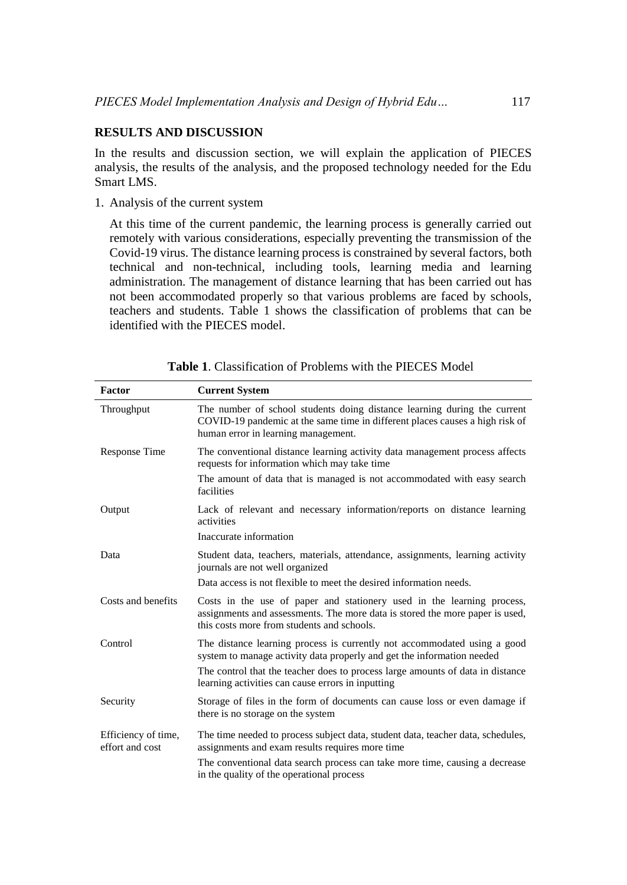#### **RESULTS AND DISCUSSION**

In the results and discussion section, we will explain the application of PIECES analysis, the results of the analysis, and the proposed technology needed for the Edu Smart LMS.

1. Analysis of the current system

At this time of the current pandemic, the learning process is generally carried out remotely with various considerations, especially preventing the transmission of the Covid-19 virus. The distance learning process is constrained by several factors, both technical and non-technical, including tools, learning media and learning administration. The management of distance learning that has been carried out has not been accommodated properly so that various problems are faced by schools, teachers and students. Table 1 shows the classification of problems that can be identified with the PIECES model.

| Factor                                 | <b>Current System</b>                                                                                                                                                                                |  |
|----------------------------------------|------------------------------------------------------------------------------------------------------------------------------------------------------------------------------------------------------|--|
| Throughput                             | The number of school students doing distance learning during the current<br>COVID-19 pandemic at the same time in different places causes a high risk of<br>human error in learning management.      |  |
| <b>Response Time</b>                   | The conventional distance learning activity data management process affects<br>requests for information which may take time                                                                          |  |
|                                        | The amount of data that is managed is not accommodated with easy search<br>facilities                                                                                                                |  |
| Output                                 | Lack of relevant and necessary information/reports on distance learning<br>activities                                                                                                                |  |
|                                        | Inaccurate information                                                                                                                                                                               |  |
| Data                                   | Student data, teachers, materials, attendance, assignments, learning activity<br>journals are not well organized                                                                                     |  |
|                                        | Data access is not flexible to meet the desired information needs.                                                                                                                                   |  |
| Costs and benefits                     | Costs in the use of paper and stationery used in the learning process,<br>assignments and assessments. The more data is stored the more paper is used,<br>this costs more from students and schools. |  |
| Control                                | The distance learning process is currently not accommodated using a good<br>system to manage activity data properly and get the information needed                                                   |  |
|                                        | The control that the teacher does to process large amounts of data in distance<br>learning activities can cause errors in inputting                                                                  |  |
| Security                               | Storage of files in the form of documents can cause loss or even damage if<br>there is no storage on the system                                                                                      |  |
| Efficiency of time,<br>effort and cost | The time needed to process subject data, student data, teacher data, schedules,<br>assignments and exam results requires more time                                                                   |  |
|                                        | The conventional data search process can take more time, causing a decrease<br>in the quality of the operational process                                                                             |  |

|  | <b>Table 1.</b> Classification of Problems with the PIECES Model |  |  |  |  |
|--|------------------------------------------------------------------|--|--|--|--|
|--|------------------------------------------------------------------|--|--|--|--|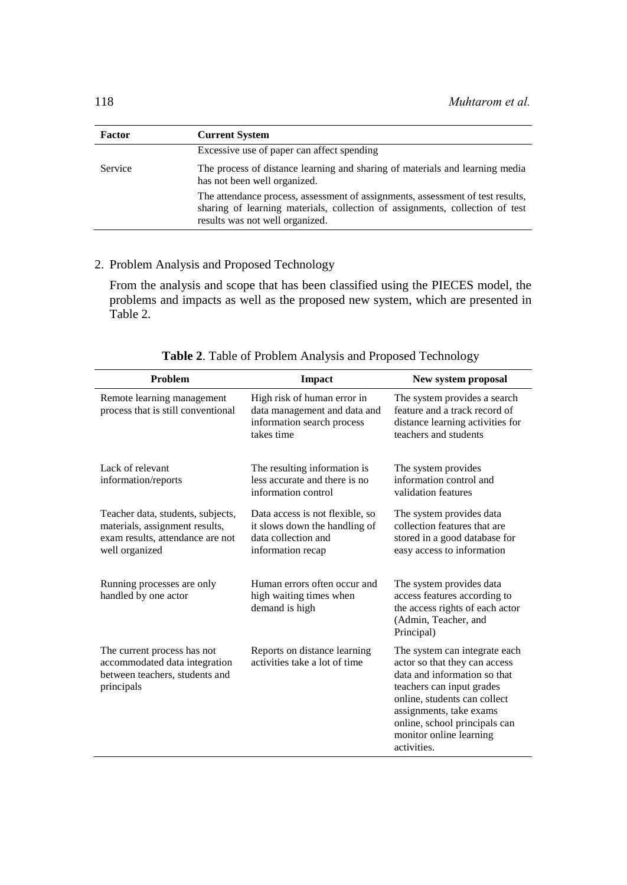| Factor  | <b>Current System</b>                                                                                                                                                                             |  |  |
|---------|---------------------------------------------------------------------------------------------------------------------------------------------------------------------------------------------------|--|--|
|         | Excessive use of paper can affect spending                                                                                                                                                        |  |  |
| Service | The process of distance learning and sharing of materials and learning media<br>has not been well organized.                                                                                      |  |  |
|         | The attendance process, assessment of assignments, assessment of test results,<br>sharing of learning materials, collection of assignments, collection of test<br>results was not well organized. |  |  |

# 2. Problem Analysis and Proposed Technology

From the analysis and scope that has been classified using the PIECES model, the problems and impacts as well as the proposed new system, which are presented in Table 2.

| Problem                                                                                                                   | Impact                                                                                                       | New system proposal                                                                                                                                                                                                                                               |
|---------------------------------------------------------------------------------------------------------------------------|--------------------------------------------------------------------------------------------------------------|-------------------------------------------------------------------------------------------------------------------------------------------------------------------------------------------------------------------------------------------------------------------|
| Remote learning management<br>process that is still conventional                                                          | High risk of human error in<br>data management and data and<br>information search process<br>takes time      | The system provides a search<br>feature and a track record of<br>distance learning activities for<br>teachers and students                                                                                                                                        |
| Lack of relevant<br>information/reports                                                                                   | The resulting information is<br>less accurate and there is no<br>information control                         | The system provides<br>information control and<br>validation features                                                                                                                                                                                             |
| Teacher data, students, subjects,<br>materials, assignment results,<br>exam results, attendance are not<br>well organized | Data access is not flexible, so<br>it slows down the handling of<br>data collection and<br>information recap | The system provides data<br>collection features that are<br>stored in a good database for<br>easy access to information                                                                                                                                           |
| Running processes are only<br>handled by one actor                                                                        | Human errors often occur and<br>high waiting times when<br>demand is high                                    | The system provides data<br>access features according to<br>the access rights of each actor<br>(Admin, Teacher, and<br>Principal)                                                                                                                                 |
| The current process has not<br>accommodated data integration<br>between teachers, students and<br>principals              | Reports on distance learning<br>activities take a lot of time                                                | The system can integrate each<br>actor so that they can access<br>data and information so that<br>teachers can input grades<br>online, students can collect<br>assignments, take exams<br>online, school principals can<br>monitor online learning<br>activities. |

**Table 2**. Table of Problem Analysis and Proposed Technology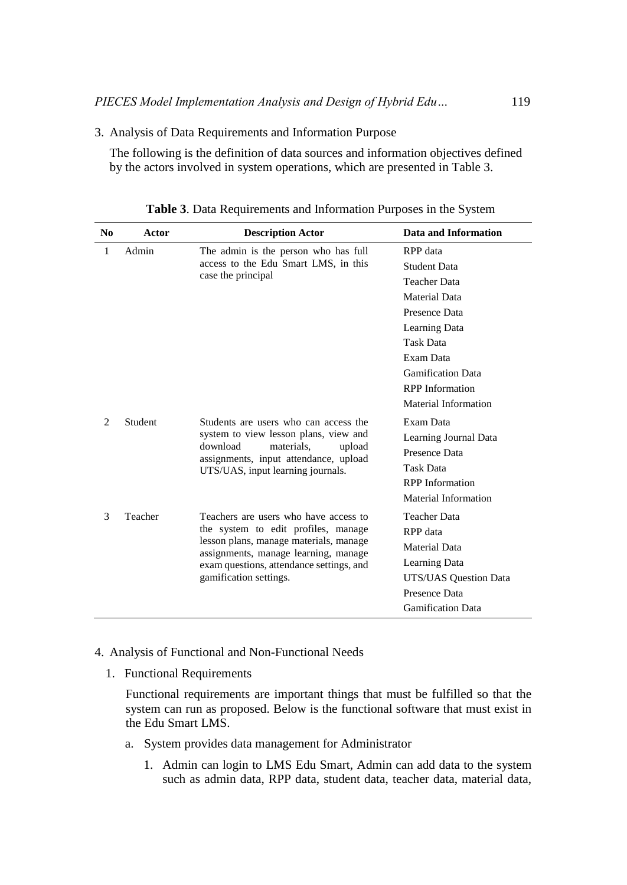3. Analysis of Data Requirements and Information Purpose

The following is the definition of data sources and information objectives defined by the actors involved in system operations, which are presented in Table 3.

| N <sub>0</sub> | Actor                                    | <b>Description Actor</b>                                                                                                                                                                         | Data and Information     |
|----------------|------------------------------------------|--------------------------------------------------------------------------------------------------------------------------------------------------------------------------------------------------|--------------------------|
| 1              | Admin                                    | The admin is the person who has full<br>access to the Edu Smart LMS, in this<br>case the principal                                                                                               | RPP data                 |
|                |                                          |                                                                                                                                                                                                  | <b>Student Data</b>      |
|                |                                          |                                                                                                                                                                                                  | <b>Teacher Data</b>      |
|                |                                          |                                                                                                                                                                                                  | <b>Material Data</b>     |
|                |                                          |                                                                                                                                                                                                  | Presence Data            |
|                |                                          |                                                                                                                                                                                                  | Learning Data            |
|                |                                          |                                                                                                                                                                                                  | <b>Task Data</b>         |
|                |                                          |                                                                                                                                                                                                  | Exam Data                |
|                |                                          | <b>Gamification Data</b>                                                                                                                                                                         |                          |
|                |                                          |                                                                                                                                                                                                  | <b>RPP</b> Information   |
|                |                                          | Material Information                                                                                                                                                                             |                          |
| 2<br>Student   |                                          | Students are users who can access the<br>system to view lesson plans, view and<br>download<br>materials.<br>upload<br>assignments, input attendance, upload<br>UTS/UAS, input learning journals. | Exam Data                |
|                |                                          |                                                                                                                                                                                                  | Learning Journal Data    |
|                |                                          |                                                                                                                                                                                                  | Presence Data            |
|                |                                          |                                                                                                                                                                                                  | Task Data                |
|                |                                          | <b>RPP</b> Information                                                                                                                                                                           |                          |
|                |                                          |                                                                                                                                                                                                  | Material Information     |
| 3              | Teacher                                  | Teachers are users who have access to                                                                                                                                                            | <b>Teacher Data</b>      |
|                |                                          | the system to edit profiles, manage<br>lesson plans, manage materials, manage<br>assignments, manage learning, manage                                                                            | RPP data                 |
|                |                                          |                                                                                                                                                                                                  | <b>Material Data</b>     |
|                | exam questions, attendance settings, and | Learning Data                                                                                                                                                                                    |                          |
|                |                                          | gamification settings.                                                                                                                                                                           | UTS/UAS Question Data    |
|                |                                          |                                                                                                                                                                                                  | Presence Data            |
|                |                                          |                                                                                                                                                                                                  | <b>Gamification Data</b> |

**Table 3**. Data Requirements and Information Purposes in the System

- 4. Analysis of Functional and Non-Functional Needs
	- 1. Functional Requirements

Functional requirements are important things that must be fulfilled so that the system can run as proposed. Below is the functional software that must exist in the Edu Smart LMS.

- a. System provides data management for Administrator
	- 1. Admin can login to LMS Edu Smart, Admin can add data to the system such as admin data, RPP data, student data, teacher data, material data,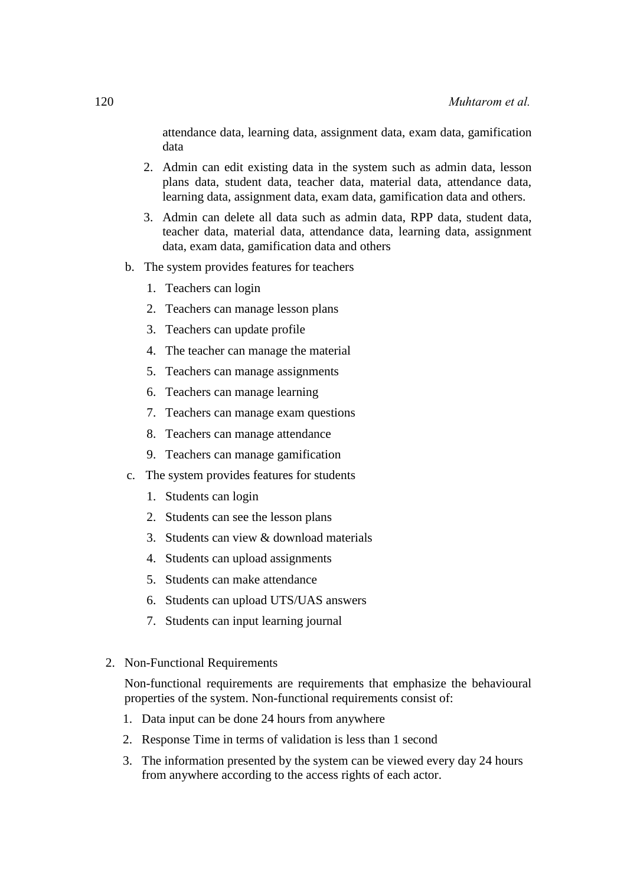attendance data, learning data, assignment data, exam data, gamification data

- 2. Admin can edit existing data in the system such as admin data, lesson plans data, student data, teacher data, material data, attendance data, learning data, assignment data, exam data, gamification data and others.
- 3. Admin can delete all data such as admin data, RPP data, student data, teacher data, material data, attendance data, learning data, assignment data, exam data, gamification data and others
- b. The system provides features for teachers
	- 1. Teachers can login
	- 2. Teachers can manage lesson plans
	- 3. Teachers can update profile
	- 4. The teacher can manage the material
	- 5. Teachers can manage assignments
	- 6. Teachers can manage learning
	- 7. Teachers can manage exam questions
	- 8. Teachers can manage attendance
	- 9. Teachers can manage gamification
- c. The system provides features for students
	- 1. Students can login
	- 2. Students can see the lesson plans
	- 3. Students can view & download materials
	- 4. Students can upload assignments
	- 5. Students can make attendance
	- 6. Students can upload UTS/UAS answers
	- 7. Students can input learning journal
- 2. Non-Functional Requirements

Non-functional requirements are requirements that emphasize the behavioural properties of the system. Non-functional requirements consist of:

- 1. Data input can be done 24 hours from anywhere
- 2. Response Time in terms of validation is less than 1 second
- 3. The information presented by the system can be viewed every day 24 hours from anywhere according to the access rights of each actor.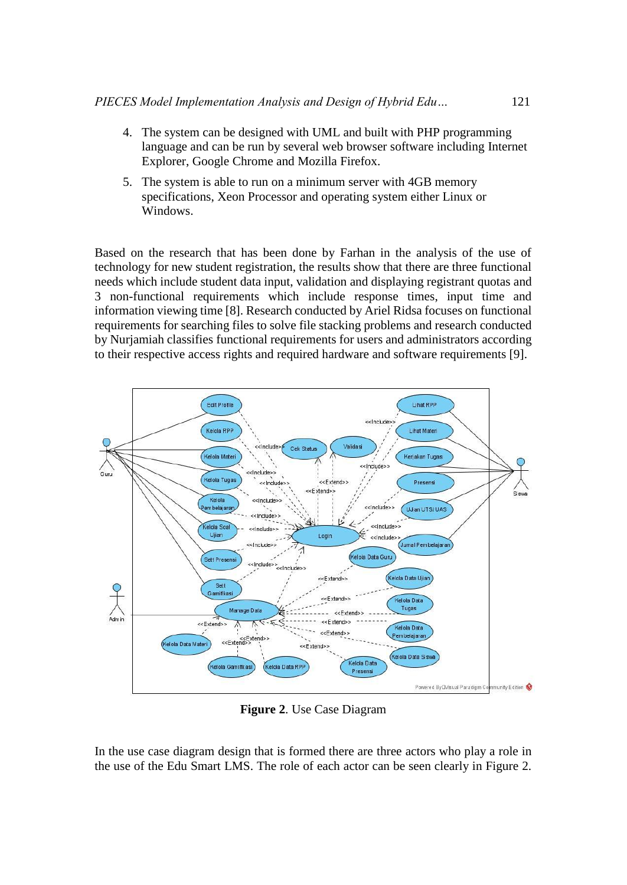- 4. The system can be designed with UML and built with PHP programming language and can be run by several web browser software including Internet Explorer, Google Chrome and Mozilla Firefox.
- 5. The system is able to run on a minimum server with 4GB memory specifications, Xeon Processor and operating system either Linux or Windows.

Based on the research that has been done by Farhan in the analysis of the use of technology for new student registration, the results show that there are three functional needs which include student data input, validation and displaying registrant quotas and 3 non-functional requirements which include response times, input time and information viewing time [8]. Research conducted by Ariel Ridsa focuses on functional requirements for searching files to solve file stacking problems and research conducted by Nurjamiah classifies functional requirements for users and administrators according to their respective access rights and required hardware and software requirements [9].



**Figure 2**. Use Case Diagram

In the use case diagram design that is formed there are three actors who play a role in the use of the Edu Smart LMS. The role of each actor can be seen clearly in Figure 2.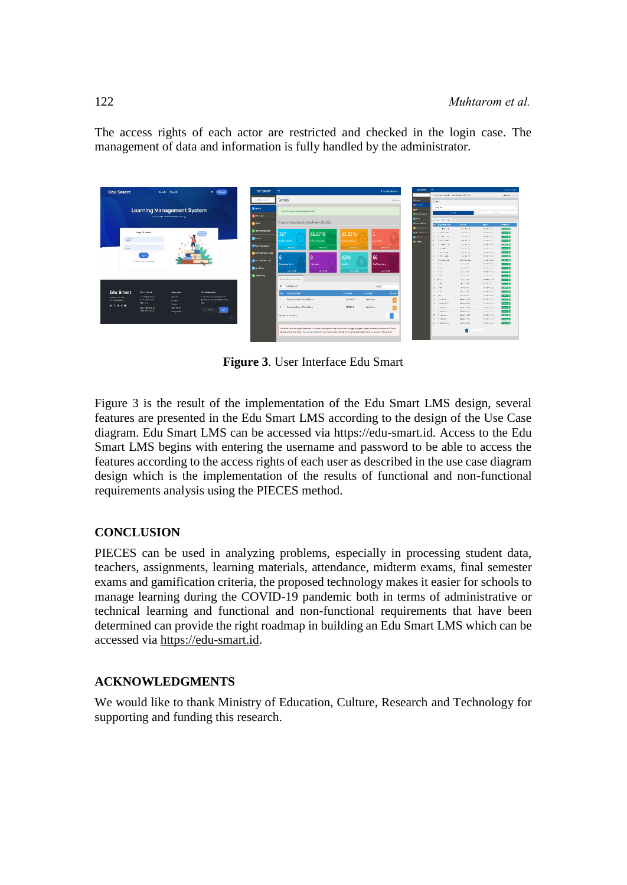The access rights of each actor are restricted and checked in the login case. The management of data and information is fully handled by the administrator.



**Figure 3**. User Interface Edu Smart

Figure 3 is the result of the implementation of the Edu Smart LMS design, several features are presented in the Edu Smart LMS according to the design of the Use Case diagram. Edu Smart LMS can be accessed via https://edu-smart.id. Access to the Edu Smart LMS begins with entering the username and password to be able to access the features according to the access rights of each user as described in the use case diagram design which is the implementation of the results of functional and non-functional requirements analysis using the PIECES method.

# **CONCLUSION**

PIECES can be used in analyzing problems, especially in processing student data, teachers, assignments, learning materials, attendance, midterm exams, final semester exams and gamification criteria, the proposed technology makes it easier for schools to manage learning during the COVID-19 pandemic both in terms of administrative or technical learning and functional and non-functional requirements that have been determined can provide the right roadmap in building an Edu Smart LMS which can be accessed via [https://edu-smart.id.](https://edu-smart.id/)

# **ACKNOWLEDGMENTS**

We would like to thank Ministry of Education, Culture, Research and Technology for supporting and funding this research.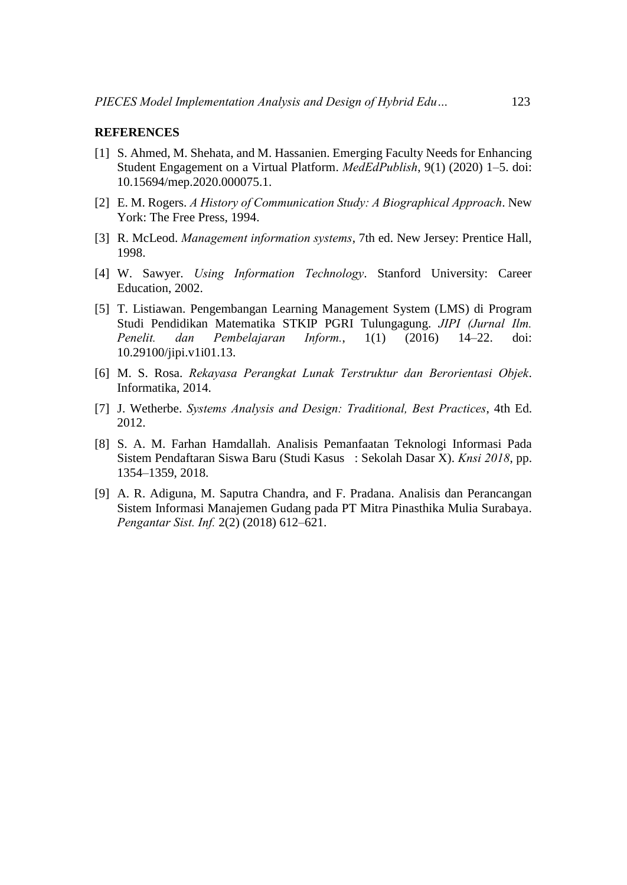### **REFERENCES**

- [1] S. Ahmed, M. Shehata, and M. Hassanien. Emerging Faculty Needs for Enhancing Student Engagement on a Virtual Platform. *MedEdPublish*, 9(1) (2020) 1–5. doi: 10.15694/mep.2020.000075.1.
- [2] E. M. Rogers. *A History of Communication Study: A Biographical Approach*. New York: The Free Press, 1994.
- [3] R. McLeod. *Management information systems*, 7th ed. New Jersey: Prentice Hall, 1998.
- [4] W. Sawyer. *Using Information Technology*. Stanford University: Career Education, 2002.
- [5] T. Listiawan. Pengembangan Learning Management System (LMS) di Program Studi Pendidikan Matematika STKIP PGRI Tulungagung. *JIPI (Jurnal Ilm. Penelit. dan Pembelajaran Inform.*, 1(1) (2016) 14–22. doi: 10.29100/jipi.v1i01.13.
- [6] M. S. Rosa. *Rekayasa Perangkat Lunak Terstruktur dan Berorientasi Objek*. Informatika, 2014.
- [7] J. Wetherbe. *Systems Analysis and Design: Traditional, Best Practices*, 4th Ed. 2012.
- [8] S. A. M. Farhan Hamdallah. Analisis Pemanfaatan Teknologi Informasi Pada Sistem Pendaftaran Siswa Baru (Studi Kasus : Sekolah Dasar X). *Knsi 2018*, pp. 1354–1359, 2018.
- [9] A. R. Adiguna, M. Saputra Chandra, and F. Pradana. Analisis dan Perancangan Sistem Informasi Manajemen Gudang pada PT Mitra Pinasthika Mulia Surabaya. *Pengantar Sist. Inf.* 2(2) (2018) 612–621.